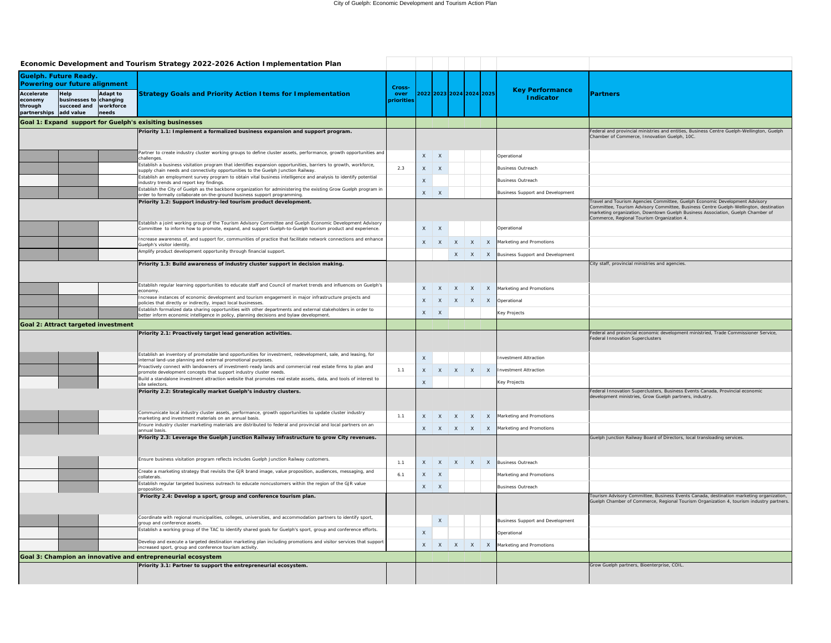|                                                                                   |                                       |                    | Economic Development and Tourism Strategy 2022-2026 Action Implementation Plan                                                                                                                                         |                    |              |              |                 |                              |                                         |                                                                                                                                                                                                                                                                                                       |
|-----------------------------------------------------------------------------------|---------------------------------------|--------------------|------------------------------------------------------------------------------------------------------------------------------------------------------------------------------------------------------------------------|--------------------|--------------|--------------|-----------------|------------------------------|-----------------------------------------|-------------------------------------------------------------------------------------------------------------------------------------------------------------------------------------------------------------------------------------------------------------------------------------------------------|
|                                                                                   | <b>Guelph. Future Ready.</b>          |                    |                                                                                                                                                                                                                        |                    |              |              |                 |                              |                                         |                                                                                                                                                                                                                                                                                                       |
| <b>Powering our future alignment</b><br><b>Accelerate</b><br>Adapt to<br>$ He$ lp |                                       |                    |                                                                                                                                                                                                                        |                    |              |              |                 | 2022 2023 2024 2024 2025     | <b>Key Performance</b>                  | <b>Partners</b>                                                                                                                                                                                                                                                                                       |
| economy<br>through<br>partnerships add value                                      | businesses to changing<br>succeed and | workforce<br>needs | <b>Strategy Goals and Priority Action Items for Implementation</b>                                                                                                                                                     | over<br>priorities |              |              |                 |                              | <b>Indicator</b>                        |                                                                                                                                                                                                                                                                                                       |
|                                                                                   |                                       |                    | Goal 1: Expand support for Guelph's exisiting businesses                                                                                                                                                               |                    |              |              |                 |                              |                                         |                                                                                                                                                                                                                                                                                                       |
|                                                                                   |                                       |                    | Priority 1.1: Implement a formalized business expansion and support program.                                                                                                                                           |                    |              |              |                 |                              |                                         | Federal and provincial ministries and entities, Business Centre Guelph-Wellington, Guelph<br>Chamber of Commerce, Innovation Guelph, 10C.                                                                                                                                                             |
|                                                                                   |                                       |                    | Partner to create industry cluster working groups to define cluster assets, performance, growth opportunities and<br>challenges.                                                                                       |                    | X            | X            |                 |                              | Operational                             |                                                                                                                                                                                                                                                                                                       |
|                                                                                   |                                       |                    | Establish a business visitation program that identifies expansion opportunities, barriers to growth, workforce,<br>supply chain needs and connectivity opportunities to the Guelph Junction Railway                    | 2.3                | X            | $\mathsf{X}$ |                 |                              | <b>Business Outreach</b>                |                                                                                                                                                                                                                                                                                                       |
|                                                                                   |                                       |                    | Establish an employment survey program to obtain vital business intelligence and analysis to identify potential<br>industry trends and report key findings.                                                            |                    | $\times$     |              |                 |                              | <b>Business Outreach</b>                |                                                                                                                                                                                                                                                                                                       |
|                                                                                   |                                       |                    | Establish the City of Guelph as the backbone organization for administering the existing Grow Guelph program in<br>order to formally collaborate on-the-ground business support programming.                           |                    | $\mathsf{X}$ | $\mathsf{X}$ |                 |                              | <b>Business Support and Development</b> |                                                                                                                                                                                                                                                                                                       |
|                                                                                   |                                       |                    | Priority 1.2: Support industry-led tourism product development.                                                                                                                                                        |                    |              |              |                 |                              |                                         | Travel and Tourism Agencies Committee, Guelph Economic Development Advisory<br>Committee, Tourism Advisory Committee, Business Centre Guelph-Wellington, destination<br>marketing organization, Downtown Guelph Business Association, Guelph Chamber of<br>Commerce, Regional Tourism Organization 4. |
|                                                                                   |                                       |                    | Establish a joint working group of the Tourism Advisory Committee and Guelph Economic Development Advisory<br>Committee to inform how to promote, expand, and support Guelph-to-Guelph tourism product and experience. |                    | X            | $\mathsf{X}$ |                 |                              | Operational                             |                                                                                                                                                                                                                                                                                                       |
|                                                                                   |                                       |                    | Increase awareness of, and support for, communities of practice that facilitate network connections and enhance<br>Guelph's visitor identity.                                                                          |                    |              | $X \mid X$   | X               | $\mathsf{X}$                 | Marketing and Promotions                |                                                                                                                                                                                                                                                                                                       |
|                                                                                   |                                       |                    | Amplify product development opportunity through financial support.                                                                                                                                                     |                    |              |              |                 | $X \mid X$<br>$\mathsf{X}$   | Business Support and Development        |                                                                                                                                                                                                                                                                                                       |
|                                                                                   |                                       |                    | Priority 1.3: Build awareness of industry cluster support in decision making.                                                                                                                                          |                    |              |              |                 |                              |                                         | City staff, provincial ministries and agencies.                                                                                                                                                                                                                                                       |
|                                                                                   |                                       |                    | Establish regular learning opportunities to educate staff and Council of market trends and influences on Guelph's<br>economy.                                                                                          |                    |              |              |                 | $X$ $X$ $X$ $X$<br>X         | Marketing and Promotions                |                                                                                                                                                                                                                                                                                                       |
|                                                                                   |                                       |                    | Increase instances of economic development and tourism engagement in major infrastructure projects and<br>policies that directly or indirectly, impact local businesses.                                               |                    |              |              |                 | $X$ $X$ $X$ $X$<br>X         | Operational                             |                                                                                                                                                                                                                                                                                                       |
|                                                                                   |                                       |                    | Establish formalized data sharing opportunities with other departments and external stakeholders in order to<br>better inform economic intelligence in policy, planning decisions and bylaw development.               |                    |              | $X \mid X$   |                 |                              | <b>Key Projects</b>                     |                                                                                                                                                                                                                                                                                                       |
|                                                                                   | Goal 2: Attract targeted investment   |                    |                                                                                                                                                                                                                        |                    |              |              |                 |                              |                                         |                                                                                                                                                                                                                                                                                                       |
|                                                                                   |                                       |                    | Priority 2.1: Proactively target lead generation activities.                                                                                                                                                           |                    |              |              |                 |                              |                                         | Federal and provincial economic development ministried, Trade Commissioner Service,<br>Federal Innovation Superclusters                                                                                                                                                                               |
|                                                                                   |                                       |                    | Establish an inventory of promotable land opportunities for investment, redevelopment, sale, and leasing, for<br>internal land-use planning and external promotional purposes.                                         |                    | $\mathsf{X}$ |              |                 |                              | <b>Investment Attraction</b>            |                                                                                                                                                                                                                                                                                                       |
|                                                                                   |                                       |                    | Proactively connect with landowners of investment-ready lands and commercial real estate firms to plan and<br>promote development concepts that support industry cluster needs.                                        | 1.1                | X            | X            | $\mathsf{X}$    | $\mathsf{X}$<br>$\mathsf{X}$ | nvestment Attraction                    |                                                                                                                                                                                                                                                                                                       |
|                                                                                   |                                       |                    | Build a standalone investment attraction website that promotes real estate assets, data, and tools of interest to<br>site selectors.                                                                                   |                    | $\sf X$      |              |                 |                              | <b>Key Projects</b>                     |                                                                                                                                                                                                                                                                                                       |
|                                                                                   |                                       |                    | Priority 2.2: Strategically market Guelph's industry clusters.                                                                                                                                                         |                    |              |              |                 |                              |                                         | Federal Innovation Superclusters, Business Events Canada, Provincial economic<br>development ministries, Grow Guelph partners, industry.                                                                                                                                                              |
|                                                                                   |                                       |                    | Communicate local industry cluster assets, performance, growth opportunities to update cluster industry<br>marketing and investment materials on an annual basis.                                                      | 1.1                |              |              | $X$ $X$ $X$ $X$ |                              | X<br>Marketing and Promotions           |                                                                                                                                                                                                                                                                                                       |
|                                                                                   |                                       |                    | Ensure industry cluster marketing materials are distributed to federal and provincial and local partners on an<br>annual basis.                                                                                        |                    |              |              |                 | $X$ $X$ $X$ $X$<br>X         | Marketing and Promotions                |                                                                                                                                                                                                                                                                                                       |
|                                                                                   |                                       |                    | Priority 2.3: Leverage the Guelph Junction Railway infrastructure to grow City revenues.                                                                                                                               |                    |              |              |                 |                              |                                         | Guelph Junction Railway Board of Directors, local transloading services.                                                                                                                                                                                                                              |
|                                                                                   |                                       |                    | Ensure business visitation program reflects includes Guelph Junction Railway customers.                                                                                                                                | 1.1                |              |              |                 | $X$ $X$ $X$ $X$              | X<br><b>Business Outreach</b>           |                                                                                                                                                                                                                                                                                                       |
|                                                                                   |                                       |                    | Create a marketing strategy that revisits the GJR brand image, value proposition, audiences, messaging, and<br>collaterals.                                                                                            | 6.1                |              | $X \mid X$   |                 |                              | Marketing and Promotions                |                                                                                                                                                                                                                                                                                                       |
|                                                                                   |                                       |                    | Establish regular targeted business outreach to educate noncustomers within the region of the GJR value<br>proposition.                                                                                                |                    |              | $X \mid X$   |                 |                              | <b>Business Outreach</b>                |                                                                                                                                                                                                                                                                                                       |
|                                                                                   |                                       |                    | Priority 2.4: Develop a sport, group and conference tourism plan.                                                                                                                                                      |                    |              |              |                 |                              |                                         | Tourism Advisory Committee, Business Events Canada, destination marketing organization,<br>Guelph Chamber of Commerce, Regional Tourism Organization 4, tourism industry partners.                                                                                                                    |
|                                                                                   |                                       |                    | Coordinate with regional municipalities, colleges, universities, and accommodation partners to identify sport,<br>group and conference assets.                                                                         |                    |              | $\times$     |                 |                              | <b>Business Support and Development</b> |                                                                                                                                                                                                                                                                                                       |
|                                                                                   |                                       |                    | Establish a working group of the TAC to identify shared goals for Guelph's sport, group and conference efforts.                                                                                                        |                    |              |              |                 |                              | Operational                             |                                                                                                                                                                                                                                                                                                       |
|                                                                                   |                                       |                    | Develop and execute a targeted destination marketing plan including promotions and visitor services that support<br>increased sport, group and conference tourism activity.                                            |                    | X            | $\mathsf{X}$ | $X$ $X$         | $\mathsf{X}$                 | Marketing and Promotions                |                                                                                                                                                                                                                                                                                                       |
|                                                                                   |                                       |                    | Goal 3: Champion an innovative and entrepreneurial ecosystem                                                                                                                                                           |                    |              |              |                 |                              |                                         |                                                                                                                                                                                                                                                                                                       |
|                                                                                   |                                       |                    | Priority 3.1: Partner to support the entrepreneurial ecosystem.                                                                                                                                                        |                    |              |              |                 |                              |                                         | Grow Guelph partners, Bioenterprise, COIL.                                                                                                                                                                                                                                                            |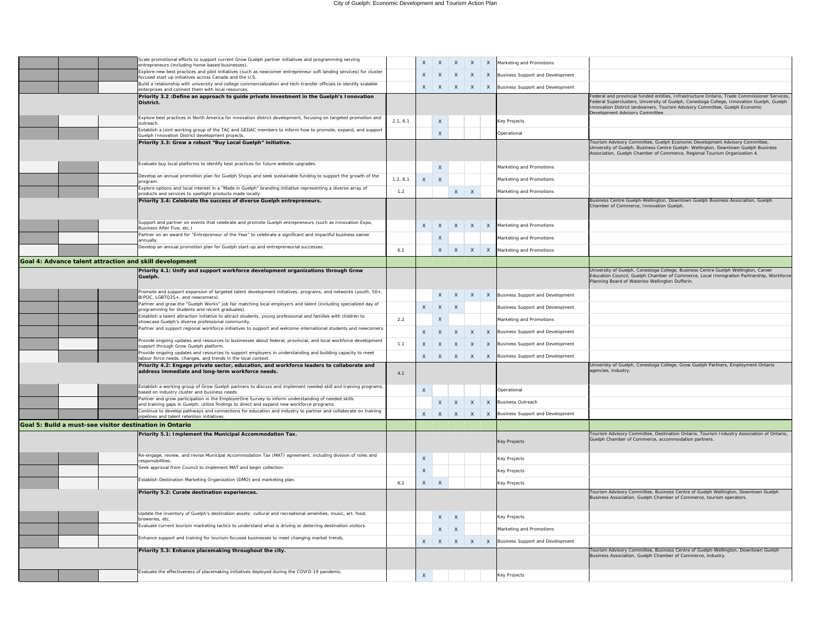|                                                         | Scale promotional efforts to support current Grow Guelph partner initiatives and programming serving<br>entrepreneurs (including home-based businesses).                                        |          | X                         | $\mathsf{X}$ | $X \mid X$      |            | X            | Marketing and Promotions                |                                                                                                                                                                                                                                                                                                             |
|---------------------------------------------------------|-------------------------------------------------------------------------------------------------------------------------------------------------------------------------------------------------|----------|---------------------------|--------------|-----------------|------------|--------------|-----------------------------------------|-------------------------------------------------------------------------------------------------------------------------------------------------------------------------------------------------------------------------------------------------------------------------------------------------------------|
|                                                         | Explore new best practices and pilot initiatives (such as newcomer entrepreneur soft landing services) for cluster<br>focused start up initiatives across Canada and the U.S.                   |          |                           | $X \mid X$   | X               |            | X            | Business Support and Development        |                                                                                                                                                                                                                                                                                                             |
|                                                         | Build a relationship with university and college commercialization and tech-transfer officials to identify scalable<br>enterprises and connect them with local resources.                       |          |                           | $X \mid X$   | $X$ $X$         |            | $\mathsf{X}$ | Business Support and Development        |                                                                                                                                                                                                                                                                                                             |
|                                                         | Priority 3.2 : Define an approach to guide private investment in the Guelph's Innovation<br>District.                                                                                           |          |                           |              |                 |            |              |                                         | Federal and provincial funded entities, Infrastructure Ontario, Trade Commissioner Services,<br>Federal Superclusters, University of Guelph, Conestoga College, Innovation Guelph, Guelph<br>Innovation District landowners, Tourism Advisory Committee, Guelph Economic<br>Development Advisory Committee. |
|                                                         | Explore best practices in North America for innovation district development, focusing on targeted promotion and<br>loutreach.                                                                   | 2.1, 6.1 |                           | $\mathsf{X}$ |                 |            |              | <b>Key Projects</b>                     |                                                                                                                                                                                                                                                                                                             |
|                                                         | Establish a joint working group of the TAC and GEDAC members to inform how to promote, expand, and support<br>Guelph Innovation District development projects.                                  |          |                           | $\times$     |                 |            |              | Operational                             |                                                                                                                                                                                                                                                                                                             |
|                                                         | Priority 3.3: Grow a robust "Buy Local Guelph" initiative.                                                                                                                                      |          |                           |              |                 |            |              |                                         | Tourism Advisory Committee, Guelph Economic Development Advisory Committee,<br>University of Guelph, Business Centre Guelph- Wellington, Downtown Guelph Business<br>Association, Guelph Chamber of Commerce, Regional Tourism Organization 4.                                                              |
|                                                         | Evaluate buy local platforms to identify best practices for future website upgrades.                                                                                                            |          |                           | $\times$     |                 |            |              | Marketing and Promotions                |                                                                                                                                                                                                                                                                                                             |
|                                                         | Develop an annual promotion plan for Guelph Shops and seek sustainable funding to support the growth of the<br>program.                                                                         | 1.2, 6.1 | $\boldsymbol{X}$          | - X          |                 |            |              | Marketing and Promotions                |                                                                                                                                                                                                                                                                                                             |
|                                                         | Explore options and local interest in a "Made in Guelph" branding initiative representing a diverse array of<br>products and services to spotlight products made locally.                       | 1.2      |                           |              |                 | $X \mid X$ |              | Marketing and Promotions                |                                                                                                                                                                                                                                                                                                             |
|                                                         | Priority 3.4: Celebrate the success of diverse Guelph entrepreneurs.                                                                                                                            |          |                           |              |                 |            |              |                                         | Business Centre Guelph-Wellington, Downtown Guelph Business Association, Guelph                                                                                                                                                                                                                             |
|                                                         |                                                                                                                                                                                                 |          |                           |              |                 |            |              |                                         | Chamber of Commerce, Innovation Guelph.                                                                                                                                                                                                                                                                     |
|                                                         | Support and partner on events that celebrate and promote Guelph entrepreneurs (such as Innovation Expo,<br>Business After Five, etc.)                                                           |          | X                         | $\mathsf{X}$ | $X$ $X$         |            | X            | Marketing and Promotions                |                                                                                                                                                                                                                                                                                                             |
|                                                         | Partner on an award for "Entrepreneur of the Year" to celebrate a significant and impactful business owner<br>annually.                                                                         |          |                           | $\mathsf{X}$ |                 |            |              | Marketing and Promotions                |                                                                                                                                                                                                                                                                                                             |
|                                                         | Develop an annual promotion plan for Guelph start-up and entrepreneurial successes.                                                                                                             | 6.1      |                           |              | $X \mid X$      |            | X            | Marketing and Promotions                |                                                                                                                                                                                                                                                                                                             |
| Goal 4: Advance talent attraction and skill development |                                                                                                                                                                                                 |          |                           |              |                 |            |              |                                         |                                                                                                                                                                                                                                                                                                             |
|                                                         | Priority 4.1: Unify and support workforce development organizations through Grow                                                                                                                |          |                           |              |                 |            |              |                                         | University of Guelph, Conestoga College, Business Centre Guelph Wellington, Career                                                                                                                                                                                                                          |
|                                                         | Guelph.                                                                                                                                                                                         |          |                           |              |                 |            |              |                                         | Education Council, Guelph Chamber of Commerce, Local Immigration Partnership, Workforce<br>Planning Board of Waterloo Wellington Dufferin.                                                                                                                                                                  |
|                                                         | Promote and support expansion of targeted talent development initiatives, programs, and networks (youth, 50+,<br>BIPOC, LGBTQ2S+, and newcomers).                                               |          |                           |              | $X$ $X$         | X          |              | X   Business Support and Development    |                                                                                                                                                                                                                                                                                                             |
|                                                         | Partner and grow the "Guelph Works" job fair matching local employers and talent (including specialized day of<br>programming for students and recent graduates).                               |          | $\mathsf{X}$              | $\mathsf{X}$ | X               |            |              | <b>Business Support and Development</b> |                                                                                                                                                                                                                                                                                                             |
|                                                         | Establish a talent attraction initiative to attract students, young professional and families with children to<br>showcase Guelph's diverse professional community.                             | 2.2      |                           | $\mathsf{X}$ |                 |            |              | Marketing and Promotions                |                                                                                                                                                                                                                                                                                                             |
|                                                         | Partner and support regional workforce initiatives to support and welcome international students and newcomers.                                                                                 |          | X                         | $\mathsf{X}$ | $\mathsf{X}$    |            | X            | Business Support and Development        |                                                                                                                                                                                                                                                                                                             |
|                                                         | Provide ongoing updates and resources to businesses about federal, provincial, and local workforce development<br>support through Grow Guelph platform.                                         | 1.1      |                           | $X \mid X$   | X               |            | X            | Business Support and Development        |                                                                                                                                                                                                                                                                                                             |
|                                                         | Provide ongoing updates and resources to support employers in understanding and building capacity to meet<br>labour force needs, changes, and trends in the local context.                      |          |                           |              | $X$ $X$ $X$ $X$ |            |              | X Business Support and Development      |                                                                                                                                                                                                                                                                                                             |
|                                                         | Priority 4.2: Engage private sector, education, and workforce leaders to collaborate and<br>address immediate and long-term workforce needs.                                                    | 4.1      |                           |              |                 |            |              |                                         | Univeristy of Guelph, Conestoga College, Grow Guelph Partners, Employment Ontario<br>agencies, industry.                                                                                                                                                                                                    |
|                                                         | Establish a working group of Grow Guelph partners to discuss and implement needed skill and training programs,<br>based on industry cluster and business needs.                                 |          | $\times$                  |              |                 |            |              | Operational                             |                                                                                                                                                                                                                                                                                                             |
|                                                         | Partner and grow participation in the EmployerOne Survey to inform understanding of needed skills<br>and training gaps in Guelph; utilize findings to direct and expand new workforce programs. |          |                           |              | $X \mid X$      |            | $\mathsf{X}$ | <b>Business Outreach</b>                |                                                                                                                                                                                                                                                                                                             |
|                                                         | Continue to develop pathways and connections for education and industry to partner and collaborate on training<br>pipelines and talent retention initiatives.                                   |          | X                         |              |                 |            |              | X Business Support and Development      |                                                                                                                                                                                                                                                                                                             |
| Goal 5: Build a must-see visitor destination in Ontario |                                                                                                                                                                                                 |          |                           |              |                 |            |              |                                         |                                                                                                                                                                                                                                                                                                             |
|                                                         | Priority 5.1: Implement the Municipal Accommodation Tax.                                                                                                                                        |          |                           |              |                 |            |              | <b>Key Projects</b>                     | Tourism Advisory Committee, Destination Ontario, Tourism Industry Association of Ontario,<br>Guelph Chamber of Commerce, accommodation partners.                                                                                                                                                            |
|                                                         | Re-engage, review, and revise Municipal Accommodation Tax (MAT) agreement, including division of roles and<br>responsibilities                                                                  |          | $\mathsf{X}$              |              |                 |            |              | <b>Key Projects</b>                     |                                                                                                                                                                                                                                                                                                             |
|                                                         | Seek approval from Council to implement MAT and begin collection.                                                                                                                               |          | $\times$                  |              |                 |            |              | <b>Key Projects</b>                     |                                                                                                                                                                                                                                                                                                             |
|                                                         | Establish Destination Marketing Organization (DMO) and marketing plan                                                                                                                           | 6.2      | $\mathsf{X}$              | $\mathsf{X}$ |                 |            |              | <b>Key Projects</b>                     |                                                                                                                                                                                                                                                                                                             |
|                                                         | Priority 5.2: Curate destination experiences.                                                                                                                                                   |          |                           |              |                 |            |              |                                         | Tourism Advisory Committee, Business Centre of Guelph Wellington, Downtown Guelph<br>Business Association, Guelph Chamber of Commerce, tourism operators.                                                                                                                                                   |
|                                                         |                                                                                                                                                                                                 |          |                           |              |                 |            |              |                                         |                                                                                                                                                                                                                                                                                                             |
|                                                         | Update the inventory of Guelph's destination assets: cultural and recreational amenities, music, art, food,<br>breweries, etc.                                                                  |          |                           |              | $X \mid X$      |            |              | <b>Key Projects</b>                     |                                                                                                                                                                                                                                                                                                             |
|                                                         | Evaluate current tourism marketing tactics to understand what is driving or deterring destination visitors.                                                                                     |          |                           |              | $X \mid X$      |            |              | Marketing and Promotions                |                                                                                                                                                                                                                                                                                                             |
|                                                         | Enhance support and training for tourism-focused businesses to meet changing market trends.                                                                                                     |          | $\mathsf{X}$              | $\mathsf{X}$ | $\mathsf{X}$    |            |              | Business Support and Development        |                                                                                                                                                                                                                                                                                                             |
|                                                         | Priority 5.3: Enhance placemaking throughout the city.                                                                                                                                          |          |                           |              |                 |            |              |                                         | Tourism Advisory Committee, Business Centre of Guelph-Wellington, Downtown Guelph<br>Business Association, Guelph Chamber of Commerce, industry.                                                                                                                                                            |
|                                                         | Evaluate the effectiveness of placemaking initiatives deployed during the COVID-19 pandemic.                                                                                                    |          | $\boldsymbol{\mathsf{X}}$ |              |                 |            |              | <b>Key Projects</b>                     |                                                                                                                                                                                                                                                                                                             |
|                                                         |                                                                                                                                                                                                 |          |                           |              |                 |            |              |                                         |                                                                                                                                                                                                                                                                                                             |